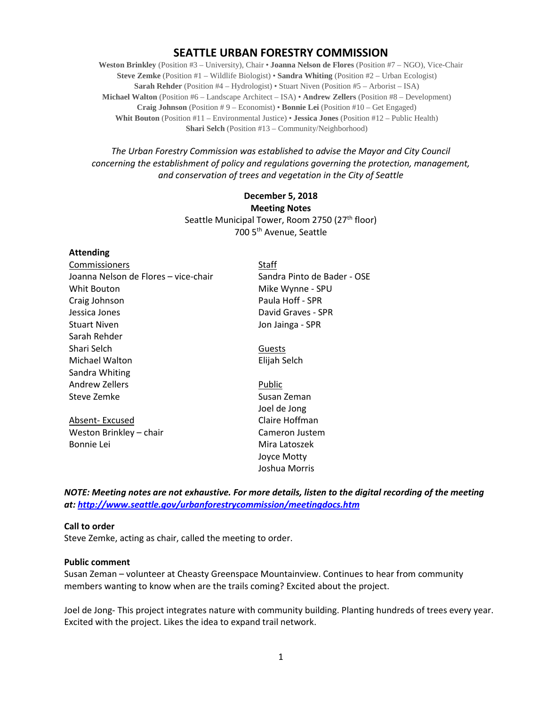# **SEATTLE URBAN FORESTRY COMMISSION**

**Weston Brinkley** (Position #3 – University), Chair • **Joanna Nelson de Flores** (Position #7 – NGO), Vice-Chair **Steve Zemke** (Position #1 – Wildlife Biologist) • **Sandra Whiting** (Position #2 – Urban Ecologist) **Sarah Rehder** (Position #4 – Hydrologist) • Stuart Niven (Position #5 – Arborist – ISA) **Michael Walton** (Position #6 – Landscape Architect – ISA) • **Andrew Zellers** (Position #8 – Development) **Craig Johnson** (Position # 9 – Economist) • **Bonnie Lei** (Position #10 – Get Engaged) **Whit Bouton** (Position #11 – Environmental Justice) • **Jessica Jones** (Position #12 – Public Health) **Shari Selch** (Position #13 – Community/Neighborhood)

*The Urban Forestry Commission was established to advise the Mayor and City Council concerning the establishment of policy and regulations governing the protection, management, and conservation of trees and vegetation in the City of Seattle*

> **December 5, 2018 Meeting Notes** Seattle Municipal Tower, Room 2750 (27<sup>th</sup> floor) 700 5th Avenue, Seattle

#### **Attending**

| Commissioners                        | Staff                       |
|--------------------------------------|-----------------------------|
| Joanna Nelson de Flores - vice-chair | Sandra Pinto de Bader - OSE |
| Whit Bouton                          | Mike Wynne - SPU            |
| Craig Johnson                        | Paula Hoff - SPR            |
| Jessica Jones                        | David Graves - SPR          |
| <b>Stuart Niven</b>                  | Jon Jainga - SPR            |
| Sarah Rehder                         |                             |
| Shari Selch                          | Guests                      |
| Michael Walton                       | Elijah Selch                |
| Sandra Whiting                       |                             |
| Andrew Zellers                       | Public                      |
| Steve Zemke                          | Susan Zeman                 |
|                                      | Joel de Jong                |
| Absent-Excused                       | Claire Hoffman              |
| Weston Brinkley - chair              | Cameron Justem              |
| Bonnie Lei                           | Mira Latoszek               |
|                                      | Joyce Motty                 |
|                                      | Joshua Morris               |

*NOTE: Meeting notes are not exhaustive. For more details, listen to the digital recording of the meeting at:<http://www.seattle.gov/urbanforestrycommission/meetingdocs.htm>*

#### **Call to order**

Steve Zemke, acting as chair, called the meeting to order.

#### **Public comment**

Susan Zeman – volunteer at Cheasty Greenspace Mountainview. Continues to hear from community members wanting to know when are the trails coming? Excited about the project.

Joel de Jong- This project integrates nature with community building. Planting hundreds of trees every year. Excited with the project. Likes the idea to expand trail network.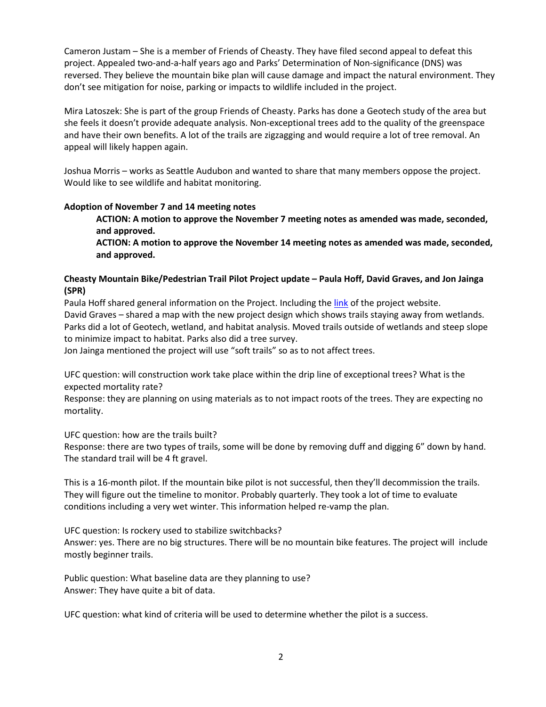Cameron Justam – She is a member of Friends of Cheasty. They have filed second appeal to defeat this project. Appealed two-and-a-half years ago and Parks' Determination of Non-significance (DNS) was reversed. They believe the mountain bike plan will cause damage and impact the natural environment. They don't see mitigation for noise, parking or impacts to wildlife included in the project.

Mira Latoszek: She is part of the group Friends of Cheasty. Parks has done a Geotech study of the area but she feels it doesn't provide adequate analysis. Non-exceptional trees add to the quality of the greenspace and have their own benefits. A lot of the trails are zigzagging and would require a lot of tree removal. An appeal will likely happen again.

Joshua Morris – works as Seattle Audubon and wanted to share that many members oppose the project. Would like to see wildlife and habitat monitoring.

### **Adoption of November 7 and 14 meeting notes**

**ACTION: A motion to approve the November 7 meeting notes as amended was made, seconded, and approved.**

**ACTION: A motion to approve the November 14 meeting notes as amended was made, seconded, and approved.**

### **Cheasty Mountain Bike/Pedestrian Trail Pilot Project update – Paula Hoff, David Graves, and Jon Jainga (SPR)**

Paula Hoff shared general information on the Project. Including the [link](http://www.seattle.gov/parks/about-us/current-projects/cheasty-mountain-bike/pedestrian-trail-pilot-project) of the project website. David Graves – shared a map with the new project design which shows trails staying away from wetlands. Parks did a lot of Geotech, wetland, and habitat analysis. Moved trails outside of wetlands and steep slope to minimize impact to habitat. Parks also did a tree survey.

Jon Jainga mentioned the project will use "soft trails" so as to not affect trees.

UFC question: will construction work take place within the drip line of exceptional trees? What is the expected mortality rate?

Response: they are planning on using materials as to not impact roots of the trees. They are expecting no mortality.

UFC question: how are the trails built?

Response: there are two types of trails, some will be done by removing duff and digging 6" down by hand. The standard trail will be 4 ft gravel.

This is a 16-month pilot. If the mountain bike pilot is not successful, then they'll decommission the trails. They will figure out the timeline to monitor. Probably quarterly. They took a lot of time to evaluate conditions including a very wet winter. This information helped re-vamp the plan.

UFC question: Is rockery used to stabilize switchbacks? Answer: yes. There are no big structures. There will be no mountain bike features. The project will include mostly beginner trails.

Public question: What baseline data are they planning to use? Answer: They have quite a bit of data.

UFC question: what kind of criteria will be used to determine whether the pilot is a success.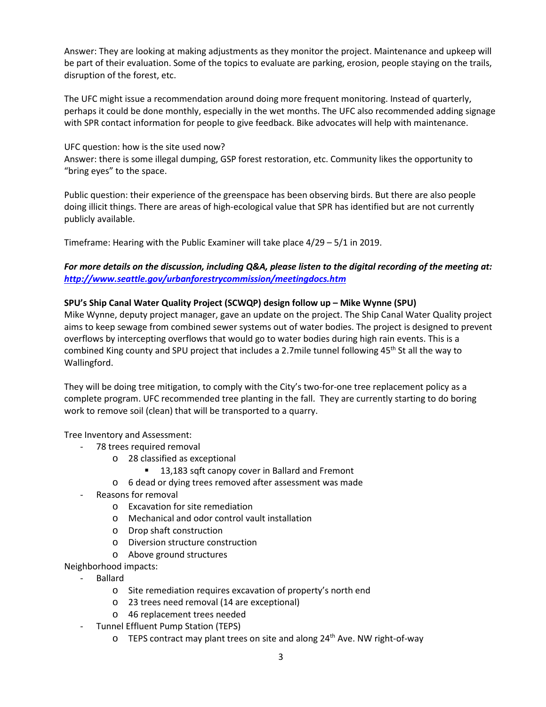Answer: They are looking at making adjustments as they monitor the project. Maintenance and upkeep will be part of their evaluation. Some of the topics to evaluate are parking, erosion, people staying on the trails, disruption of the forest, etc.

The UFC might issue a recommendation around doing more frequent monitoring. Instead of quarterly, perhaps it could be done monthly, especially in the wet months. The UFC also recommended adding signage with SPR contact information for people to give feedback. Bike advocates will help with maintenance.

UFC question: how is the site used now? Answer: there is some illegal dumping, GSP forest restoration, etc. Community likes the opportunity to "bring eyes" to the space.

Public question: their experience of the greenspace has been observing birds. But there are also people doing illicit things. There are areas of high-ecological value that SPR has identified but are not currently publicly available.

Timeframe: Hearing with the Public Examiner will take place 4/29 – 5/1 in 2019.

## *For more details on the discussion, including Q&A, please listen to the digital recording of the meeting at: <http://www.seattle.gov/urbanforestrycommission/meetingdocs.htm>*

### **SPU's Ship Canal Water Quality Project (SCWQP) design follow up – Mike Wynne (SPU)**

Mike Wynne, deputy project manager, gave an update on the project. The Ship Canal Water Quality project aims to keep sewage from combined sewer systems out of water bodies. The project is designed to prevent overflows by intercepting overflows that would go to water bodies during high rain events. This is a combined King county and SPU project that includes a 2.7mile tunnel following 45<sup>th</sup> St all the way to Wallingford.

They will be doing tree mitigation, to comply with the City's two-for-one tree replacement policy as a complete program. UFC recommended tree planting in the fall. They are currently starting to do boring work to remove soil (clean) that will be transported to a quarry.

Tree Inventory and Assessment:

- 78 trees required removal
	- o 28 classified as exceptional
		- 13,183 sqft canopy cover in Ballard and Fremont
	- o 6 dead or dying trees removed after assessment was made
- Reasons for removal
	- o Excavation for site remediation
	- o Mechanical and odor control vault installation
	- o Drop shaft construction
	- o Diversion structure construction
	- o Above ground structures

Neighborhood impacts:

- Ballard
	- o Site remediation requires excavation of property's north end
	- o 23 trees need removal (14 are exceptional)
	- o 46 replacement trees needed
- Tunnel Effluent Pump Station (TEPS)
	- $\circ$  TEPS contract may plant trees on site and along 24<sup>th</sup> Ave. NW right-of-way